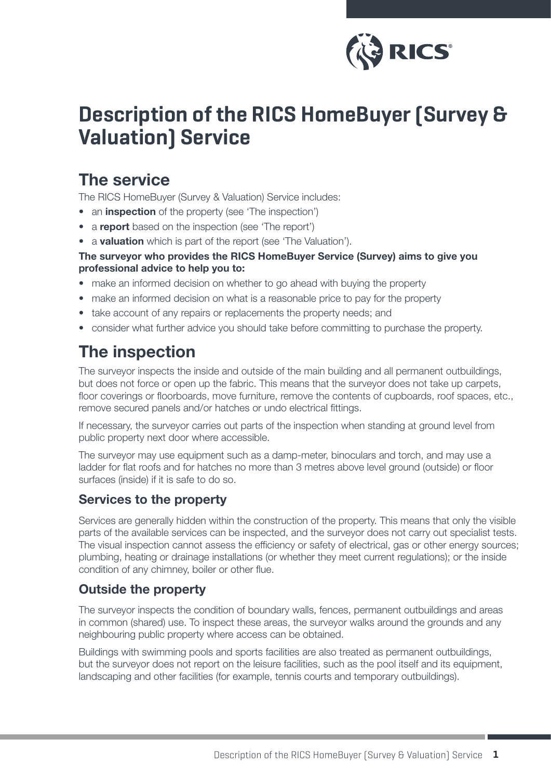

# **Description of the RICS HomeBuyer (Survey & Valuation) Service**

## The service

The RICS HomeBuyer (Survey & Valuation) Service includes:

- an **inspection** of the property (see 'The inspection')
- a report based on the inspection (see 'The report')
- a **valuation** which is part of the report (see 'The Valuation').

#### The surveyor who provides the RICS HomeBuyer Service (Survey) aims to give you professional advice to help you to:

- make an informed decision on whether to go ahead with buying the property
- make an informed decision on what is a reasonable price to pay for the property
- take account of any repairs or replacements the property needs; and
- consider what further advice you should take before committing to purchase the property.

## The inspection

The surveyor inspects the inside and outside of the main building and all permanent outbuildings, but does not force or open up the fabric. This means that the surveyor does not take up carpets, floor coverings or floorboards, move furniture, remove the contents of cupboards, roof spaces, etc., remove secured panels and/or hatches or undo electrical fittings.

If necessary, the surveyor carries out parts of the inspection when standing at ground level from public property next door where accessible.

The surveyor may use equipment such as a damp-meter, binoculars and torch, and may use a ladder for flat roofs and for hatches no more than 3 metres above level ground (outside) or floor surfaces (inside) if it is safe to do so.

#### Services to the property

Services are generally hidden within the construction of the property. This means that only the visible parts of the available services can be inspected, and the surveyor does not carry out specialist tests. The visual inspection cannot assess the efficiency or safety of electrical, gas or other energy sources; plumbing, heating or drainage installations (or whether they meet current regulations); or the inside condition of any chimney, boiler or other flue.

### Outside the property

The surveyor inspects the condition of boundary walls, fences, permanent outbuildings and areas in common (shared) use. To inspect these areas, the surveyor walks around the grounds and any neighbouring public property where access can be obtained.

Buildings with swimming pools and sports facilities are also treated as permanent outbuildings, but the surveyor does not report on the leisure facilities, such as the pool itself and its equipment, landscaping and other facilities (for example, tennis courts and temporary outbuildings).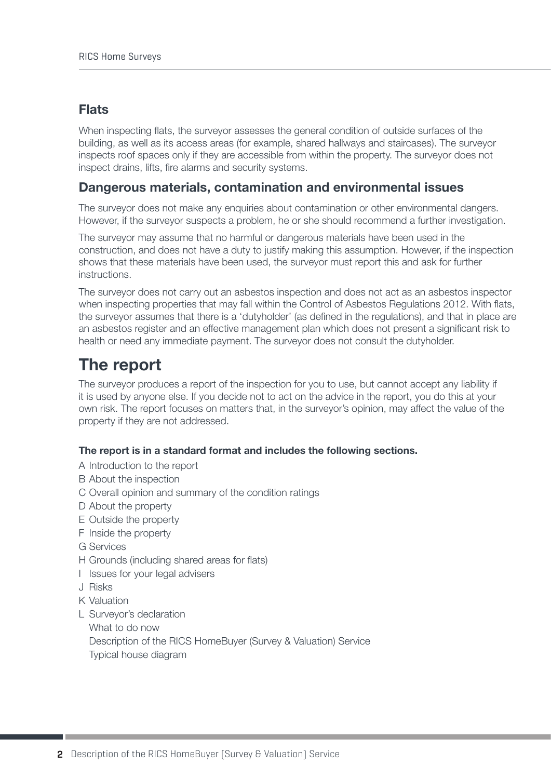## **Flats**

When inspecting flats, the surveyor assesses the general condition of outside surfaces of the building, as well as its access areas (for example, shared hallways and staircases). The surveyor inspects roof spaces only if they are accessible from within the property. The surveyor does not inspect drains, lifts, fire alarms and security systems.

#### Dangerous materials, contamination and environmental issues

The surveyor does not make any enquiries about contamination or other environmental dangers. However, if the surveyor suspects a problem, he or she should recommend a further investigation.

The surveyor may assume that no harmful or dangerous materials have been used in the construction, and does not have a duty to justify making this assumption. However, if the inspection shows that these materials have been used, the surveyor must report this and ask for further instructions.

The surveyor does not carry out an asbestos inspection and does not act as an asbestos inspector when inspecting properties that may fall within the Control of Asbestos Regulations 2012. With flats, the surveyor assumes that there is a 'dutyholder' (as defined in the regulations), and that in place are an asbestos register and an effective management plan which does not present a significant risk to health or need any immediate payment. The surveyor does not consult the dutyholder.

## The report

The surveyor produces a report of the inspection for you to use, but cannot accept any liability if it is used by anyone else. If you decide not to act on the advice in the report, you do this at your own risk. The report focuses on matters that, in the surveyor's opinion, may affect the value of the property if they are not addressed.

#### The report is in a standard format and includes the following sections.

- A Introduction to the report
- B About the inspection
- C Overall opinion and summary of the condition ratings
- D About the property
- E Outside the property
- F Inside the property
- G Services
- H Grounds (including shared areas for flats)
- I Issues for your legal advisers
- J Risks
- K Valuation
- L Surveyor's declaration

What to do now

Description of the RICS HomeBuyer (Survey & Valuation) Service Typical house diagram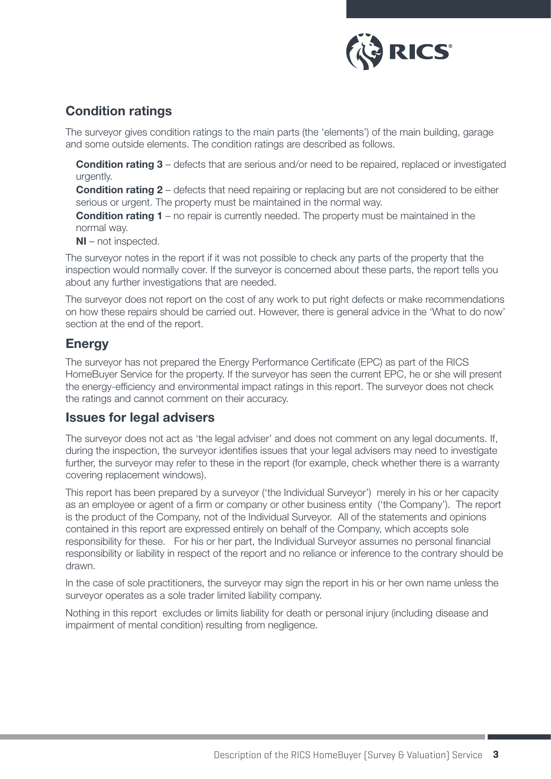

## Condition ratings

The surveyor gives condition ratings to the main parts (the 'elements') of the main building, garage and some outside elements. The condition ratings are described as follows.

Condition rating 3 – defects that are serious and/or need to be repaired, replaced or investigated urgently.

**Condition rating 2** – defects that need repairing or replacing but are not considered to be either serious or urgent. The property must be maintained in the normal way.

**Condition rating 1** – no repair is currently needed. The property must be maintained in the normal way.

NI – not inspected.

The surveyor notes in the report if it was not possible to check any parts of the property that the inspection would normally cover. If the surveyor is concerned about these parts, the report tells you about any further investigations that are needed.

The surveyor does not report on the cost of any work to put right defects or make recommendations on how these repairs should be carried out. However, there is general advice in the 'What to do now' section at the end of the report.

### **Energy**

The surveyor has not prepared the Energy Performance Certificate (EPC) as part of the RICS HomeBuyer Service for the property. If the surveyor has seen the current EPC, he or she will present the energy-efficiency and environmental impact ratings in this report. The surveyor does not check the ratings and cannot comment on their accuracy.

### Issues for legal advisers

The surveyor does not act as 'the legal adviser' and does not comment on any legal documents. If, during the inspection, the surveyor identifies issues that your legal advisers may need to investigate further, the surveyor may refer to these in the report (for example, check whether there is a warranty covering replacement windows).

This report has been prepared by a surveyor ('the Individual Surveyor') merely in his or her capacity as an employee or agent of a firm or company or other business entity ('the Company'). The report is the product of the Company, not of the Individual Surveyor. All of the statements and opinions contained in this report are expressed entirely on behalf of the Company, which accepts sole responsibility for these. For his or her part, the Individual Surveyor assumes no personal financial responsibility or liability in respect of the report and no reliance or inference to the contrary should be drawn.

In the case of sole practitioners, the surveyor may sign the report in his or her own name unless the surveyor operates as a sole trader limited liability company.

Nothing in this report excludes or limits liability for death or personal injury (including disease and impairment of mental condition) resulting from negligence.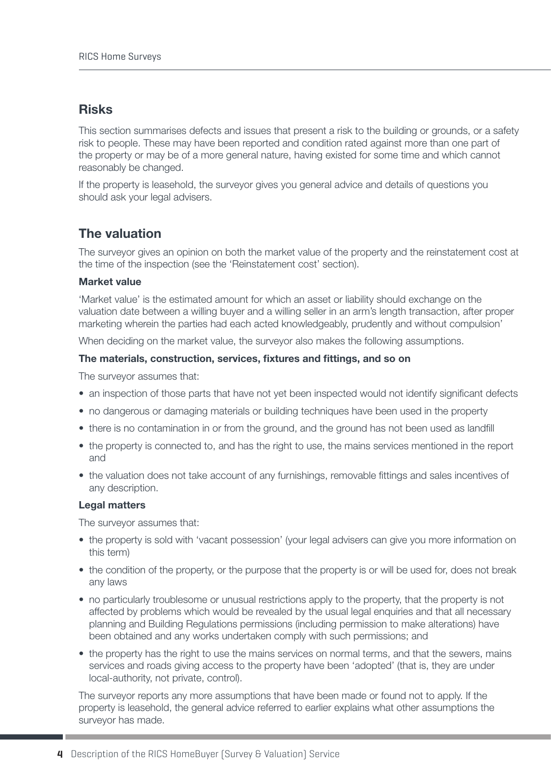### **Risks**

This section summarises defects and issues that present a risk to the building or grounds, or a safety risk to people. These may have been reported and condition rated against more than one part of the property or may be of a more general nature, having existed for some time and which cannot reasonably be changed.

If the property is leasehold, the surveyor gives you general advice and details of questions you should ask your legal advisers.

#### The valuation

The surveyor gives an opinion on both the market value of the property and the reinstatement cost at the time of the inspection (see the 'Reinstatement cost' section).

#### Market value

'Market value' is the estimated amount for which an asset or liability should exchange on the valuation date between a willing buyer and a willing seller in an arm's length transaction, after proper marketing wherein the parties had each acted knowledgeably, prudently and without compulsion'

When deciding on the market value, the surveyor also makes the following assumptions.

#### The materials, construction, services, fixtures and fittings, and so on

The surveyor assumes that:

- an inspection of those parts that have not yet been inspected would not identify significant defects
- no dangerous or damaging materials or building techniques have been used in the property
- there is no contamination in or from the ground, and the ground has not been used as landfill
- the property is connected to, and has the right to use, the mains services mentioned in the report and
- the valuation does not take account of any furnishings, removable fittings and sales incentives of any description.

#### Legal matters

The surveyor assumes that:

- the property is sold with 'vacant possession' (your legal advisers can give you more information on this term)
- the condition of the property, or the purpose that the property is or will be used for, does not break any laws
- no particularly troublesome or unusual restrictions apply to the property, that the property is not affected by problems which would be revealed by the usual legal enquiries and that all necessary planning and Building Regulations permissions (including permission to make alterations) have been obtained and any works undertaken comply with such permissions; and
- the property has the right to use the mains services on normal terms, and that the sewers, mains services and roads giving access to the property have been 'adopted' (that is, they are under local-authority, not private, control).

The surveyor reports any more assumptions that have been made or found not to apply. If the property is leasehold, the general advice referred to earlier explains what other assumptions the surveyor has made.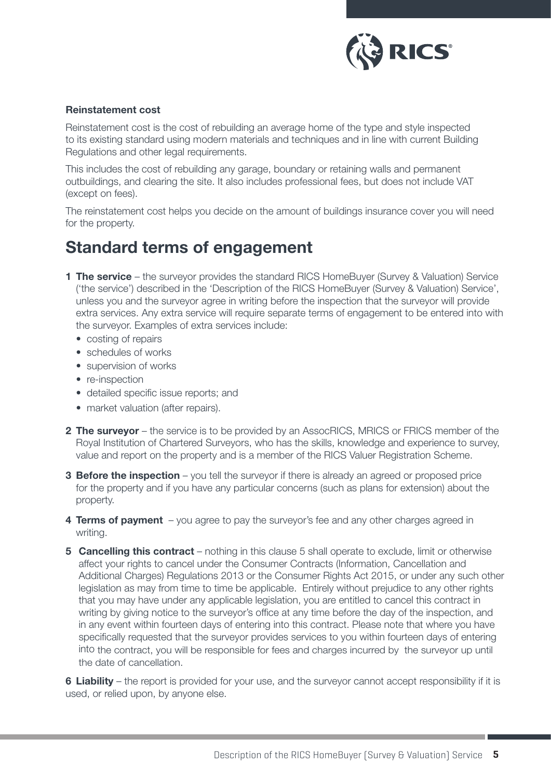

#### Reinstatement cost

Reinstatement cost is the cost of rebuilding an average home of the type and style inspected to its existing standard using modern materials and techniques and in line with current Building Regulations and other legal requirements.

This includes the cost of rebuilding any garage, boundary or retaining walls and permanent outbuildings, and clearing the site. It also includes professional fees, but does not include VAT (except on fees).

The reinstatement cost helps you decide on the amount of buildings insurance cover you will need for the property.

## Standard terms of engagement

- **1 The service** the surveyor provides the standard RICS HomeBuyer (Survey & Valuation) Service ('the service') described in the 'Description of the RICS HomeBuyer (Survey & Valuation) Service', unless you and the surveyor agree in writing before the inspection that the surveyor will provide extra services. Any extra service will require separate terms of engagement to be entered into with the surveyor. Examples of extra services include:
	- costing of repairs
	- schedules of works
	- supervision of works
	- re-inspection
	- detailed specific issue reports; and
	- market valuation (after repairs).
- **2 The surveyor** the service is to be provided by an AssocRICS, MRICS or FRICS member of the Royal Institution of Chartered Surveyors, who has the skills, knowledge and experience to survey, value and report on the property and is a member of the RICS Valuer Registration Scheme.
- **3 Before the inspection** you tell the surveyor if there is already an agreed or proposed price for the property and if you have any particular concerns (such as plans for extension) about the property.
- **4 Terms of payment**  $-$  you agree to pay the surveyor's fee and any other charges agreed in writing.
- 5 Cancelling this contract nothing in this clause 5 shall operate to exclude, limit or otherwise affect your rights to cancel under the Consumer Contracts (Information, Cancellation and Additional Charges) Regulations 2013 or the Consumer Rights Act 2015, or under any such other legislation as may from time to time be applicable. Entirely without prejudice to any other rights that you may have under any applicable legislation, you are entitled to cancel this contract in writing by giving notice to the surveyor's office at any time before the day of the inspection, and in any event within fourteen days of entering into this contract. Please note that where you have specifically requested that the surveyor provides services to you within fourteen days of entering into the contract, you will be responsible for fees and charges incurred by the surveyor up until the date of cancellation.

**6 Liability** – the report is provided for your use, and the surveyor cannot accept responsibility if it is used, or relied upon, by anyone else.